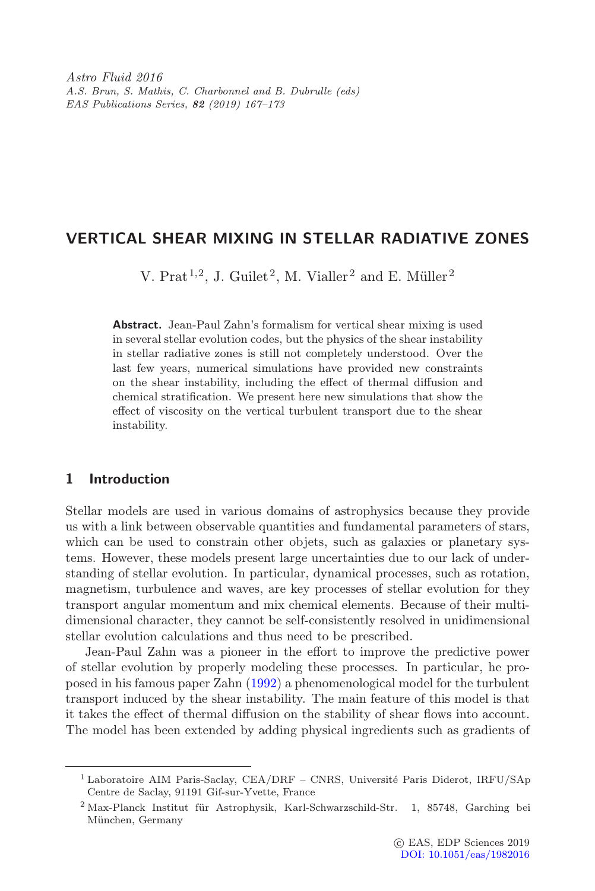Astro Fluid 2016 A.S. Brun, S. Mathis, C. Charbonnel and B. Dubrulle (eds) EAS Publications Series, 82 (2019) 167–173

# VERTICAL SHEAR MIXING IN STELLAR RADIATIVE ZONES

V. Prat<sup>1,2</sup>, J. Guilet<sup>2</sup>, M. Vialler<sup>2</sup> and E. Müller<sup>2</sup>

Abstract. Jean-Paul Zahn's formalism for vertical shear mixing is used in several stellar evolution codes, but the physics of the shear instability in stellar radiative zones is still not completely understood. Over the last few years, numerical simulations have provided new constraints on the shear instability, including the effect of thermal diffusion and chemical stratification. We present here new simulations that show the effect of viscosity on the vertical turbulent transport due to the shear instability.

## 1 Introduction

Stellar models are used in various domains of astrophysics because they provide us with a link between observable quantities and fundamental parameters of stars, which can be used to constrain other objets, such as galaxies or planetary systems. However, these models present large uncertainties due to our lack of understanding of stellar evolution. In particular, dynamical processes, such as rotation, magnetism, turbulence and waves, are key processes of stellar evolution for they transport angular momentum and mix chemical elements. Because of their multidimensional character, they cannot be self-consistently resolved in unidimensional stellar evolution calculations and thus need to be prescribed.

Jean-Paul Zahn was a pioneer in the effort to improve the predictive power of stellar evolution by properly modeling these processes. In particular, he proposed in his famous paper Zahn [\(1992\)](#page-6-0) a phenomenological model for the turbulent transport induced by the shear instability. The main feature of this model is that it takes the effect of thermal diffusion on the stability of shear flows into account. The model has been extended by adding physical ingredients such as gradients of

 $1$  Laboratoire AIM Paris-Saclay, CEA/DRF – CNRS, Université Paris Diderot, IRFU/SAp Centre de Saclay, 91191 Gif-sur-Yvette, France

 $^{2}$  Max-Planck Institut für Astrophysik, Karl-Schwarzschild-Str. 1, 85748, Garching bei München, Germany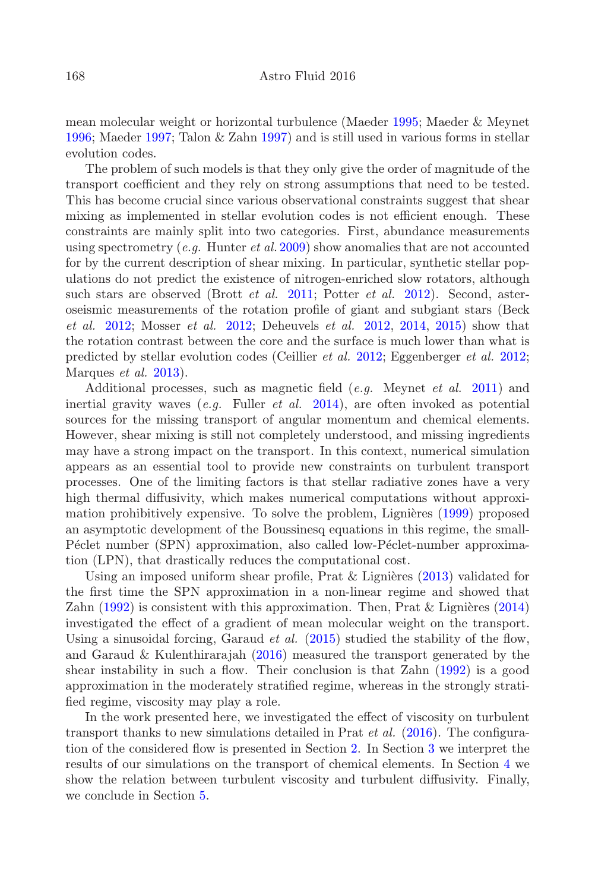mean molecular weight or horizontal turbulence (Maeder [1995;](#page-6-1) Maeder & Meynet [1996;](#page-6-2) Maeder [1997;](#page-6-3) Talon & Zahn [1997\)](#page-6-4) and is still used in various forms in stellar evolution codes.

The problem of such models is that they only give the order of magnitude of the transport coefficient and they rely on strong assumptions that need to be tested. This has become crucial since various observational constraints suggest that shear mixing as implemented in stellar evolution codes is not efficient enough. These constraints are mainly split into two categories. First, abundance measurements using spectrometry (e.g. Hunter et al. [2009\)](#page-6-5) show anomalies that are not accounted for by the current description of shear mixing. In particular, synthetic stellar populations do not predict the existence of nitrogen-enriched slow rotators, although such stars are observed (Brott *et al.* [2011;](#page-5-0) Potter *et al.* [2012\)](#page-6-6). Second, asteroseismic measurements of the rotation profile of giant and subgiant stars (Beck et al. [2012;](#page-5-1) Mosser et al. [2012;](#page-6-7) Deheuvels et al. [2012,](#page-6-8) [2014,](#page-6-9) [2015\)](#page-6-10) show that the rotation contrast between the core and the surface is much lower than what is predicted by stellar evolution codes (Ceillier et al. [2012;](#page-6-11) Eggenberger et al. [2012;](#page-6-12) Marques *et al.* [2013\)](#page-6-13).

Additional processes, such as magnetic field  $(e.g.$  Meynet  $et al.$  [2011\)](#page-6-14) and inertial gravity waves  $(e.g.$  Fuller  $et \ al.$  [2014\)](#page-6-15), are often invoked as potential sources for the missing transport of angular momentum and chemical elements. However, shear mixing is still not completely understood, and missing ingredients may have a strong impact on the transport. In this context, numerical simulation appears as an essential tool to provide new constraints on turbulent transport processes. One of the limiting factors is that stellar radiative zones have a very high thermal diffusivity, which makes numerical computations without approximation prohibitively expensive. To solve the problem, Lignières  $(1999)$  proposed an asymptotic development of the Boussinesq equations in this regime, the small-Péclet number (SPN) approximation, also called low-Péclet-number approximation (LPN), that drastically reduces the computational cost.

Using an imposed uniform shear profile, Prat  $&$  Lignières [\(2013\)](#page-6-17) validated for the first time the SPN approximation in a non-linear regime and showed that Zahn  $(1992)$  is consistent with this approximation. Then, Prat & Lignières  $(2014)$ investigated the effect of a gradient of mean molecular weight on the transport. Using a sinusoidal forcing, Garaud *et al.*  $(2015)$  studied the stability of the flow, and Garaud & Kulenthirarajah [\(2016\)](#page-6-20) measured the transport generated by the shear instability in such a flow. Their conclusion is that Zahn [\(1992\)](#page-6-0) is a good approximation in the moderately stratified regime, whereas in the strongly stratified regime, viscosity may play a role.

In the work presented here, we investigated the effect of viscosity on turbulent transport thanks to new simulations detailed in Prat *et al.*  $(2016)$ . The configuration of the considered flow is presented in Section [2.](#page-2-0) In Section [3](#page-2-1) we interpret the results of our simulations on the transport of chemical elements. In Section [4](#page-4-0) we show the relation between turbulent viscosity and turbulent diffusivity. Finally, we conclude in Section [5.](#page-4-1)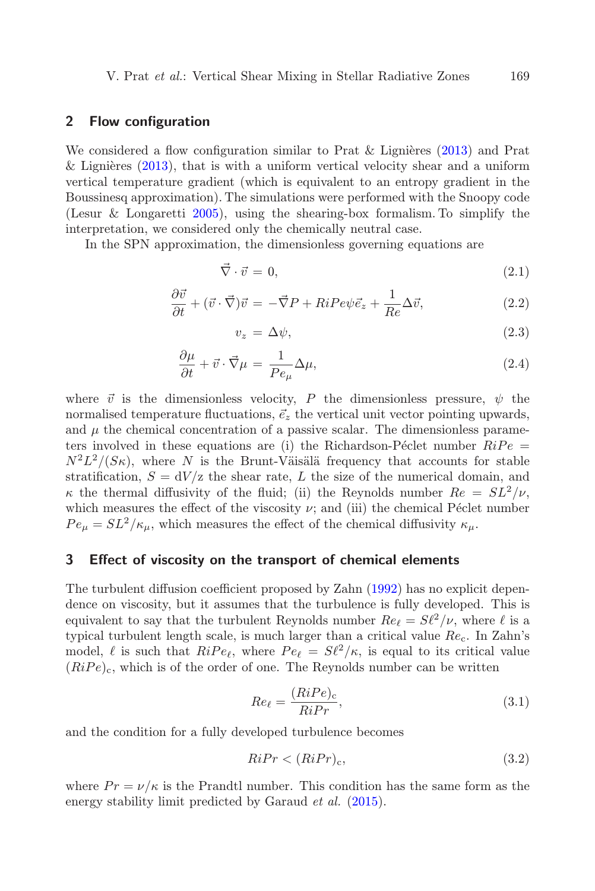#### <span id="page-2-0"></span>2 Flow configuration

We considered a flow configuration similar to Prat & Lignières [\(2013\)](#page-6-17) and Prat  $&$  Lignières [\(2013\)](#page-6-17), that is with a uniform vertical velocity shear and a uniform vertical temperature gradient (which is equivalent to an entropy gradient in the Boussinesq approximation). The simulations were performed with the Snoopy code (Lesur & Longaretti [2005\)](#page-6-22), using the shearing-box formalism. To simplify the interpretation, we considered only the chemically neutral case.

In the SPN approximation, the dimensionless governing equations are

$$
\vec{\nabla} \cdot \vec{v} = 0,\tag{2.1}
$$

$$
\frac{\partial \vec{v}}{\partial t} + (\vec{v} \cdot \vec{\nabla})\vec{v} = -\vec{\nabla}P + RiP e \psi \vec{e}_z + \frac{1}{Re} \Delta \vec{v},\tag{2.2}
$$

$$
v_z = \Delta \psi,\tag{2.3}
$$

$$
\frac{\partial \mu}{\partial t} + \vec{v} \cdot \vec{\nabla}\mu = \frac{1}{Pe_{\mu}} \Delta \mu,
$$
\n(2.4)

where  $\vec{v}$  is the dimensionless velocity, P the dimensionless pressure,  $\psi$  the normalised temperature fluctuations,  $\vec{e}_z$  the vertical unit vector pointing upwards, and  $\mu$  the chemical concentration of a passive scalar. The dimensionless parameters involved in these equations are (i) the Richardson-Péclet number  $RiPe =$  $N^2L^2/(S\kappa)$ , where N is the Brunt-Väisälä frequency that accounts for stable stratification,  $S = dV/z$  the shear rate, L the size of the numerical domain, and  $\kappa$  the thermal diffusivity of the fluid; (ii) the Reynolds number  $Re = SL^2/\nu$ , which measures the effect of the viscosity  $\nu$ ; and (iii) the chemical Péclet number  $Pe_{\mu} = SL^2/\kappa_{\mu}$ , which measures the effect of the chemical diffusivity  $\kappa_{\mu}$ .

#### <span id="page-2-1"></span>3 Effect of viscosity on the transport of chemical elements

The turbulent diffusion coefficient proposed by Zahn [\(1992\)](#page-6-0) has no explicit dependence on viscosity, but it assumes that the turbulence is fully developed. This is equivalent to say that the turbulent Reynolds number  $Re_{\ell} = S\ell^2/\nu$ , where  $\ell$  is a typical turbulent length scale, is much larger than a critical value  $Re<sub>c</sub>$ . In Zahn's model,  $\ell$  is such that  $RiPe_{\ell}$ , where  $Pe_{\ell} = S\ell^2/\kappa$ , is equal to its critical value  $(RiPe)_{c}$ , which is of the order of one. The Reynolds number can be written

$$
Re_{\ell} = \frac{(RiPe)_{\rm c}}{RiPr},\tag{3.1}
$$

<span id="page-2-2"></span>and the condition for a fully developed turbulence becomes

$$
RiPr < (RiPr)_{c},\tag{3.2}
$$

where  $Pr = \nu/\kappa$  is the Prandtl number. This condition has the same form as the energy stability limit predicted by Garaud *et al.* [\(2015\)](#page-6-19).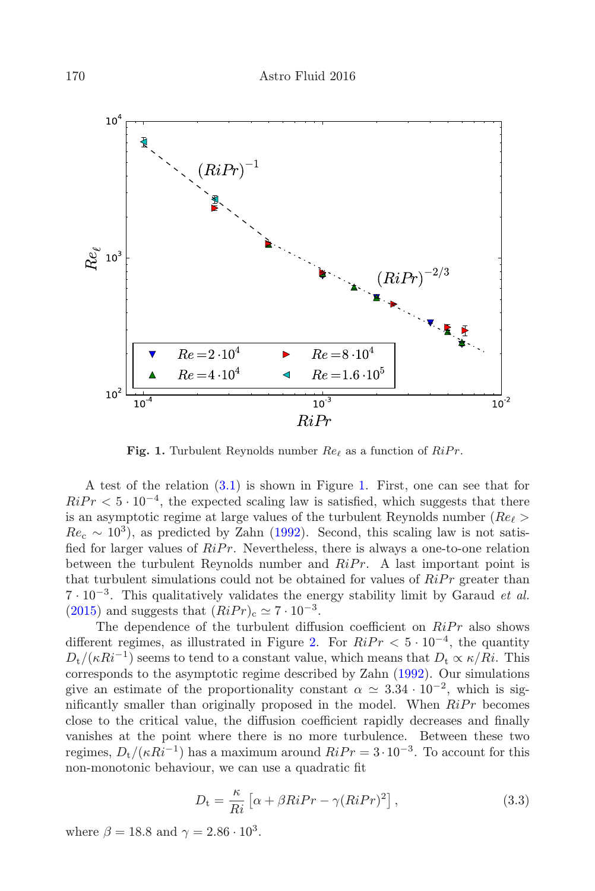

Fig. 1. Turbulent Reynolds number  $Re_\ell$  as a function of  $RiPr$ .

<span id="page-3-0"></span>A test of the relation [\(3.1\)](#page-2-2) is shown in Figure [1.](#page-3-0) First, one can see that for  $RiPr < 5 \cdot 10^{-4}$ , the expected scaling law is satisfied, which suggests that there is an asymptotic regime at large values of the turbulent Reynolds number ( $Re \ell >$  $Re<sub>c</sub> \sim 10<sup>3</sup>$ ), as predicted by Zahn [\(1992\)](#page-6-0). Second, this scaling law is not satisfied for larger values of  $RiPr$ . Nevertheless, there is always a one-to-one relation between the turbulent Reynolds number and  $RiPr$ . A last important point is that turbulent simulations could not be obtained for values of  $\dot{R}iPr$  greater than  $7 \cdot 10^{-3}$ . This qualitatively validates the energy stability limit by Garaud *et al.* [\(2015\)](#page-6-19) and suggests that  $(RiPr)_c \simeq 7 \cdot 10^{-3}$ .

The dependence of the turbulent diffusion coefficient on  $RiPr$  also shows different regimes, as illustrated in Figure [2.](#page-4-2) For  $RiPr < 5 \cdot 10^{-4}$ , the quantity  $D_t/(\kappa Ri^{-1})$  seems to tend to a constant value, which means that  $D_t \propto \kappa/Ri$ . This corresponds to the asymptotic regime described by Zahn [\(1992\)](#page-6-0). Our simulations give an estimate of the proportionality constant  $\alpha \simeq 3.34 \cdot 10^{-2}$ , which is significantly smaller than originally proposed in the model. When  $RiPr$  becomes close to the critical value, the diffusion coefficient rapidly decreases and finally vanishes at the point where there is no more turbulence. Between these two regimes,  $D_t/(\kappa Ri^{-1})$  has a maximum around  $Ri Pr = 3 \cdot 10^{-3}$ . To account for this non-monotonic behaviour, we can use a quadratic fit

$$
D_{\rm t} = \frac{\kappa}{Ri} \left[ \alpha + \beta Ri Pr - \gamma (Ri Pr)^2 \right], \qquad (3.3)
$$

where  $\beta = 18.8$  and  $\gamma = 2.86 \cdot 10^3$ .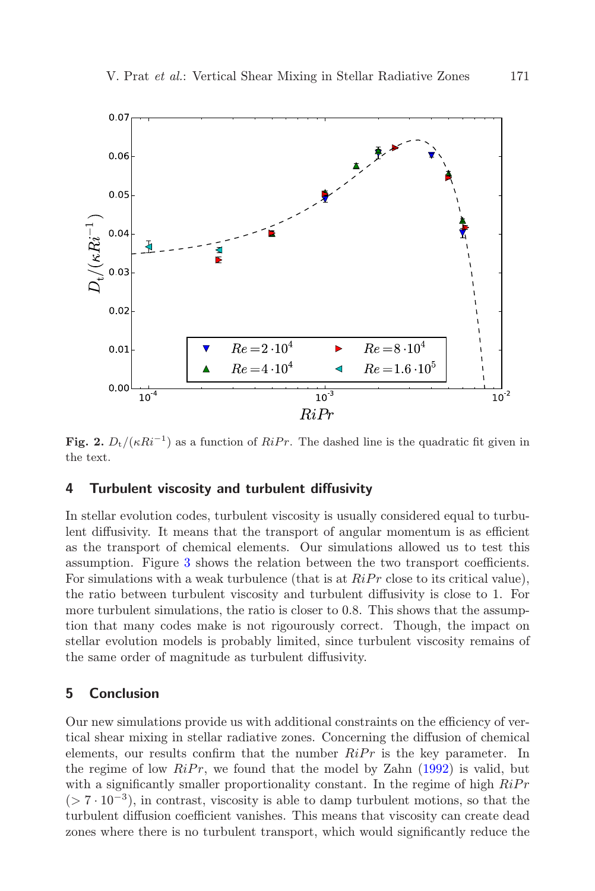

<span id="page-4-2"></span>Fig. 2.  $D_t/(\kappa Ri^{-1})$  as a function of  $RiPr$ . The dashed line is the quadratic fit given in the text.

#### <span id="page-4-0"></span>4 Turbulent viscosity and turbulent diffusivity

In stellar evolution codes, turbulent viscosity is usually considered equal to turbulent diffusivity. It means that the transport of angular momentum is as efficient as the transport of chemical elements. Our simulations allowed us to test this assumption. Figure [3](#page-5-2) shows the relation between the two transport coefficients. For simulations with a weak turbulence (that is at  $RiPr$  close to its critical value), the ratio between turbulent viscosity and turbulent diffusivity is close to 1. For more turbulent simulations, the ratio is closer to 0.8. This shows that the assumption that many codes make is not rigourously correct. Though, the impact on stellar evolution models is probably limited, since turbulent viscosity remains of the same order of magnitude as turbulent diffusivity.

### <span id="page-4-1"></span>5 Conclusion

Our new simulations provide us with additional constraints on the efficiency of vertical shear mixing in stellar radiative zones. Concerning the diffusion of chemical elements, our results confirm that the number  $RiPr$  is the key parameter. In the regime of low  $\widehat{RiPr}$ , we found that the model by Zahn [\(1992\)](#page-6-0) is valid, but with a significantly smaller proportionality constant. In the regime of high  $RiPr$  $(> 7 \cdot 10^{-3})$ , in contrast, viscosity is able to damp turbulent motions, so that the turbulent diffusion coefficient vanishes. This means that viscosity can create dead zones where there is no turbulent transport, which would significantly reduce the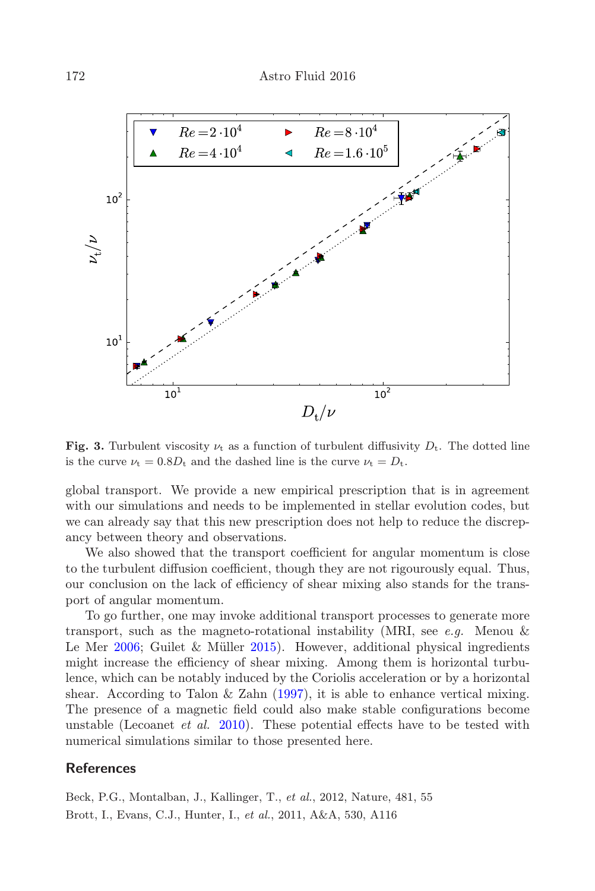

<span id="page-5-2"></span>Fig. 3. Turbulent viscosity  $\nu_t$  as a function of turbulent diffusivity  $D_t$ . The dotted line is the curve  $\nu_t = 0.8D_t$  and the dashed line is the curve  $\nu_t = D_t$ .

global transport. We provide a new empirical prescription that is in agreement with our simulations and needs to be implemented in stellar evolution codes, but we can already say that this new prescription does not help to reduce the discrepancy between theory and observations.

We also showed that the transport coefficient for angular momentum is close to the turbulent diffusion coefficient, though they are not rigourously equal. Thus, our conclusion on the lack of efficiency of shear mixing also stands for the transport of angular momentum.

To go further, one may invoke additional transport processes to generate more transport, such as the magneto-rotational instability (MRI, see e.g. Menou  $\&$ Le Mer  $2006$ ; Guilet & Müller  $2015$ ). However, additional physical ingredients might increase the efficiency of shear mixing. Among them is horizontal turbulence, which can be notably induced by the Coriolis acceleration or by a horizontal shear. According to Talon & Zahn [\(1997\)](#page-6-4), it is able to enhance vertical mixing. The presence of a magnetic field could also make stable configurations become unstable (Lecoanet *et al.* [2010\)](#page-6-25). These potential effects have to be tested with numerical simulations similar to those presented here.

## **References**

<span id="page-5-1"></span><span id="page-5-0"></span>Beck, P.G., Montalban, J., Kallinger, T., et al., 2012, Nature, 481, 55 Brott, I., Evans, C.J., Hunter, I., et al., 2011, A&A, 530, A116